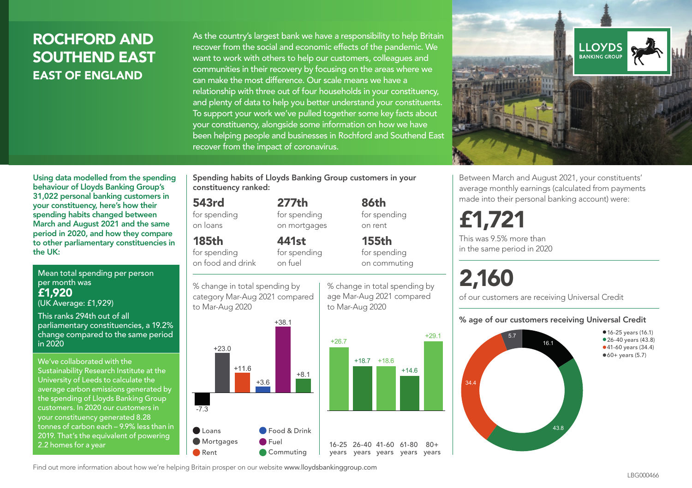### ROCHFORD AND SOUTHEND EAST EAST OF ENGLAND

As the country's largest bank we have a responsibility to help Britain recover from the social and economic effects of the pandemic. We want to work with others to help our customers, colleagues and communities in their recovery by focusing on the areas where we can make the most difference. Our scale means we have a relationship with three out of four households in your constituency, and plenty of data to help you better understand your constituents. To support your work we've pulled together some key facts about your constituency, alongside some information on how we have been helping people and businesses in Rochford and Southend East recover from the impact of coronavirus.



Between March and August 2021, your constituents' average monthly earnings (calculated from payments made into their personal banking account) were:

## £1,721

This was 9.5% more than in the same period in 2020

# 2,160

of our customers are receiving Universal Credit

#### % age of our customers receiving Universal Credit



Using data modelled from the spending behaviour of Lloyds Banking Group's 31,022 personal banking customers in your constituency, here's how their spending habits changed between March and August 2021 and the same period in 2020, and how they compare to other parliamentary constituencies in the UK:

Mean total spending per person per month was £1,920 (UK Average: £1,929)

This ranks 294th out of all parliamentary constituencies, a 19.2% change compared to the same period in 2020

We've collaborated with the Sustainability Research Institute at the University of Leeds to calculate the average carbon emissions generated by the spending of Lloyds Banking Group customers. In 2020 our customers in your constituency generated 8.28 tonnes of carbon each – 9.9% less than in 2019. That's the equivalent of powering 2.2 homes for a year

Spending habits of Lloyds Banking Group customers in your constituency ranked:

> 277th for spending on mortgages

441st

#### 543rd

for spending on loans

#### 185th

for spending on food and drink

for spending on fuel

% change in total spending by category Mar-Aug 2021 compared to Mar-Aug 2020





86th for spending on rent

155th for spending on commuting



 $80 +$ 

Find out more information about how we're helping Britain prosper on our website www.lloydsbankinggroup.com